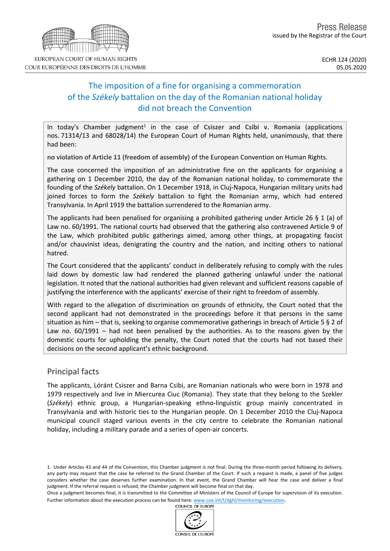# The imposition of a fine for organising a commemoration of the *Székely* battalion on the day of the Romanian national holiday did not breach the Convention

In today's Chamber judgment<sup>1</sup> in the case of Csiszer and Csibi v. Romania (applications nos. 71314/13 and 68028/14) the European Court of Human Rights held, unanimously, that there had been:

**no violation of Article 11 (freedom of assembly)** of the European Convention on Human Rights.

The case concerned the imposition of an administrative fine on the applicants for organising a gathering on 1 December 2010, the day of the Romanian national holiday, to commemorate the founding of the *Székely* battalion. On 1 December 1918, in Cluj-Napoca, Hungarian military units had joined forces to form the *Székely* battalion to fight the Romanian army, which had entered Transylvania. In April 1919 the battalion surrendered to the Romanian army.

The applicants had been penalised for organising a prohibited gathering under Article 26 § 1 (a) of Law no. 60/1991. The national courts had observed that the gathering also contravened Article 9 of the Law, which prohibited public gatherings aimed, among other things, at propagating fascist and/or chauvinist ideas, denigrating the country and the nation, and inciting others to national hatred.

The Court considered that the applicants' conduct in deliberately refusing to comply with the rules laid down by domestic law had rendered the planned gathering unlawful under the national legislation. It noted that the national authorities had given relevant and sufficient reasons capable of justifying the interference with the applicants' exercise of their right to freedom of assembly.

With regard to the allegation of discrimination on grounds of ethnicity, the Court noted that the second applicant had not demonstrated in the proceedings before it that persons in the same situation as him – that is, seeking to organise commemorative gatherings in breach of Article 5 § 2 of Law no. 60/1991 – had not been penalised by the authorities. As to the reasons given by the domestic courts for upholding the penalty, the Court noted that the courts had not based their decisions on the second applicant's ethnic background.

## Principal facts

The applicants, Lóránt Csiszer and Barna Csibi, are Romanian nationals who were born in 1978 and 1979 respectively and live in Miercurea Ciuc (Romania). They state that they belong to the Szekler (*Székely*) ethnic group, a Hungarian-speaking ethno-linguistic group mainly concentrated in Transylvania and with historic ties to the Hungarian people. On 1 December 2010 the Cluj-Napoca municipal council staged various events in the city centre to celebrate the Romanian national holiday, including a military parade and a series of open-air concerts.

1. Under Articles 43 and 44 of the Convention, this Chamber judgment is not final. During the three-month period following its delivery, any party may request that the case be referred to the Grand Chamber of the Court. If such a request is made, a panel of five judges considers whether the case deserves further examination. In that event, the Grand Chamber will hear the case and deliver a final judgment. If the referral request is refused, the Chamber judgment will become final on that day.

Once a judgment becomes final, it is transmitted to the Committee of Ministers of the Council of Europe for supervision of its execution. Further information about the execution process can be found here: [www.coe.int/t/dghl/monitoring/execution](http://www.coe.int/t/dghl/monitoring/execution).<br>COUNCIL OF FUROPE





COUR EUROPÉENNE DES DROITS DE L'HOMME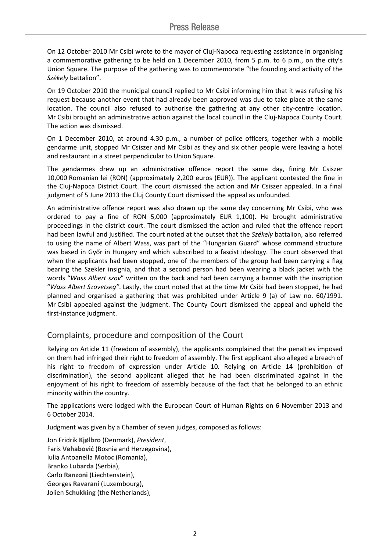On 12 October 2010 Mr Csibi wrote to the mayor of Cluj-Napoca requesting assistance in organising a commemorative gathering to be held on 1 December 2010, from 5 p.m. to 6 p.m., on the city's Union Square. The purpose of the gathering was to commemorate "the founding and activity of the *Székely* battalion".

On 19 October 2010 the municipal council replied to Mr Csibi informing him that it was refusing his request because another event that had already been approved was due to take place at the same location. The council also refused to authorise the gathering at any other city-centre location. Mr Csibi brought an administrative action against the local council in the Cluj-Napoca County Court. The action was dismissed.

On 1 December 2010, at around 4.30 p.m., a number of police officers, together with a mobile gendarme unit, stopped Mr Csiszer and Mr Csibi as they and six other people were leaving a hotel and restaurant in a street perpendicular to Union Square.

The gendarmes drew up an administrative offence report the same day, fining Mr Csiszer 10,000 Romanian lei (RON) (approximately 2,200 euros (EUR)). The applicant contested the fine in the Cluj-Napoca District Court. The court dismissed the action and Mr Csiszer appealed. In a final judgment of 5 June 2013 the Cluj County Court dismissed the appeal as unfounded.

An administrative offence report was also drawn up the same day concerning Mr Csibi, who was ordered to pay a fine of RON 5,000 (approximately EUR 1,100). He brought administrative proceedings in the district court. The court dismissed the action and ruled that the offence report had been lawful and justified. The court noted at the outset that the *Székely* battalion, also referred to using the name of Albert Wass, was part of the "Hungarian Guard" whose command structure was based in Győr in Hungary and which subscribed to a fascist ideology. The court observed that when the applicants had been stopped, one of the members of the group had been carrying a flag bearing the Szekler insignia, and that a second person had been wearing a black jacket with the words "*Wass Albert szov*" written on the back and had been carrying a banner with the inscription "*Wass Albert Szovetseg"*. Lastly, the court noted that at the time Mr Csibi had been stopped, he had planned and organised a gathering that was prohibited under Article 9 (a) of Law no. 60/1991. Mr Csibi appealed against the judgment. The County Court dismissed the appeal and upheld the first-instance judgment.

# Complaints, procedure and composition of the Court

Relying on Article 11 (freedom of assembly), the applicants complained that the penalties imposed on them had infringed their right to freedom of assembly. The first applicant also alleged a breach of his right to freedom of expression under Article 10. Relying on Article 14 (prohibition of discrimination), the second applicant alleged that he had been discriminated against in the enjoyment of his right to freedom of assembly because of the fact that he belonged to an ethnic minority within the country.

The applications were lodged with the European Court of Human Rights on 6 November 2013 and 6 October 2014.

Judgment was given by a Chamber of seven judges, composed as follows:

Jon Fridrik **Kjølbro** (Denmark), *President*, Faris **Vehabović** (Bosnia and Herzegovina), Iulia Antoanella **Motoc** (Romania), Branko **Lubarda** (Serbia), Carlo **Ranzoni** (Liechtenstein), Georges **Ravarani** (Luxembourg), Jolien **Schukking** (the Netherlands),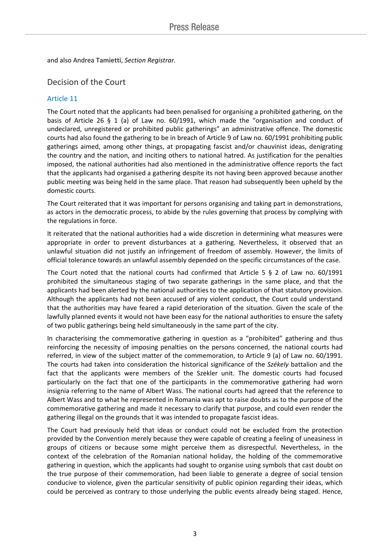and also Andrea **Tamietti**, *Section Registrar.*

## Decision of the Court

### Article 11

The Court noted that the applicants had been penalised for organising a prohibited gathering, on the basis of Article 26 § 1 (a) of Law no. 60/1991, which made the "organisation and conduct of undeclared, unregistered or prohibited public gatherings" an administrative offence. The domestic courts had also found the gathering to be in breach of Article 9 of Law no. 60/1991 prohibiting public gatherings aimed, among other things, at propagating fascist and/or chauvinist ideas, denigrating the country and the nation, and inciting others to national hatred. As justification for the penalties imposed, the national authorities had also mentioned in the administrative offence reports the fact that the applicants had organised a gathering despite its not having been approved because another public meeting was being held in the same place. That reason had subsequently been upheld by the domestic courts.

The Court reiterated that it was important for persons organising and taking part in demonstrations, as actors in the democratic process, to abide by the rules governing that process by complying with the regulations in force.

It reiterated that the national authorities had a wide discretion in determining what measures were appropriate in order to prevent disturbances at a gathering. Nevertheless, it observed that an unlawful situation did not justify an infringement of freedom of assembly. However, the limits of official tolerance towards an unlawful assembly depended on the specific circumstances of the case.

The Court noted that the national courts had confirmed that Article 5  $\S$  2 of Law no. 60/1991 prohibited the simultaneous staging of two separate gatherings in the same place, and that the applicants had been alerted by the national authorities to the application of that statutory provision. Although the applicants had not been accused of any violent conduct, the Court could understand that the authorities may have feared a rapid deterioration of the situation. Given the scale of the lawfully planned events it would not have been easy for the national authorities to ensure the safety of two public gatherings being held simultaneously in the same part of the city.

In characterising the commemorative gathering in question as a "prohibited" gathering and thus reinforcing the necessity of imposing penalties on the persons concerned, the national courts had referred, in view of the subject matter of the commemoration, to Article 9 (a) of Law no. 60/1991. The courts had taken into consideration the historical significance of the *Székely* battalion and the fact that the applicants were members of the Szekler unit. The domestic courts had focused particularly on the fact that one of the participants in the commemorative gathering had worn insignia referring to the name of Albert Wass. The national courts had agreed that the reference to Albert Wass and to what he represented in Romania was apt to raise doubts as to the purpose of the commemorative gathering and made it necessary to clarify that purpose, and could even render the gathering illegal on the grounds that it was intended to propagate fascist ideas.

The Court had previously held that ideas or conduct could not be excluded from the protection provided by the Convention merely because they were capable of creating a feeling of uneasiness in groups of citizens or because some might perceive them as disrespectful. Nevertheless, in the context of the celebration of the Romanian national holiday, the holding of the commemorative gathering in question, which the applicants had sought to organise using symbols that cast doubt on the true purpose of their commemoration, had been liable to generate a degree of social tension conducive to violence, given the particular sensitivity of public opinion regarding their ideas, which could be perceived as contrary to those underlying the public events already being staged. Hence,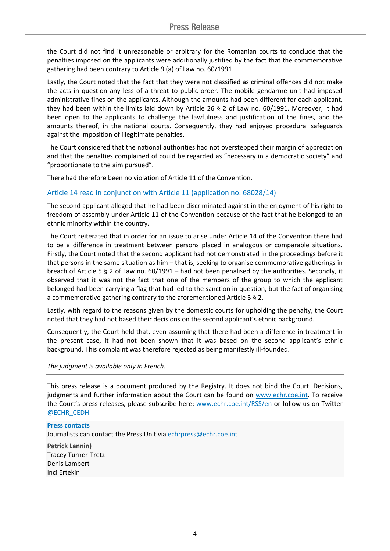the Court did not find it unreasonable or arbitrary for the Romanian courts to conclude that the penalties imposed on the applicants were additionally justified by the fact that the commemorative gathering had been contrary to Article 9 (a) of Law no. 60/1991.

Lastly, the Court noted that the fact that they were not classified as criminal offences did not make the acts in question any less of a threat to public order. The mobile gendarme unit had imposed administrative fines on the applicants. Although the amounts had been different for each applicant, they had been within the limits laid down by Article 26 § 2 of Law no. 60/1991. Moreover, it had been open to the applicants to challenge the lawfulness and justification of the fines, and the amounts thereof, in the national courts. Consequently, they had enjoyed procedural safeguards against the imposition of illegitimate penalties.

The Court considered that the national authorities had not overstepped their margin of appreciation and that the penalties complained of could be regarded as "necessary in a democratic society" and "proportionate to the aim pursued".

There had therefore been no violation of Article 11 of the Convention.

#### Article 14 read in conjunction with Article 11 (application no. 68028/14)

The second applicant alleged that he had been discriminated against in the enjoyment of his right to freedom of assembly under Article 11 of the Convention because of the fact that he belonged to an ethnic minority within the country.

The Court reiterated that in order for an issue to arise under Article 14 of the Convention there had to be a difference in treatment between persons placed in analogous or comparable situations. Firstly, the Court noted that the second applicant had not demonstrated in the proceedings before it that persons in the same situation as him – that is, seeking to organise commemorative gatherings in breach of Article 5 § 2 of Law no. 60/1991 – had not been penalised by the authorities. Secondly, it observed that it was not the fact that one of the members of the group to which the applicant belonged had been carrying a flag that had led to the sanction in question, but the fact of organising a commemorative gathering contrary to the aforementioned Article 5 § 2.

Lastly, with regard to the reasons given by the domestic courts for upholding the penalty, the Court noted that they had not based their decisions on the second applicant's ethnic background.

Consequently, the Court held that, even assuming that there had been a difference in treatment in the present case, it had not been shown that it was based on the second applicant's ethnic background. This complaint was therefore rejected as being manifestly ill-founded.

#### *The judgment is available only in French.*

This press release is a document produced by the Registry. It does not bind the Court. Decisions, judgments and further information about the Court can be found on [www.echr.coe.int](http://www.echr.coe.int/). To receive the Court's press releases, please subscribe here: [www.echr.coe.int/RSS/en](http://www.echr.coe.int/RSS/en) or follow us on Twitter [@ECHR\\_CEDH](https://twitter.com/ECHR_CEDH).

#### **Press contacts**

Journalists can contact the Press Unit via [echrpress@echr.coe.int](mailto:Echrpress@echr.coe.int)

**Patrick Lannin)** Tracey Turner-Tretz Denis Lambert Inci Ertekin